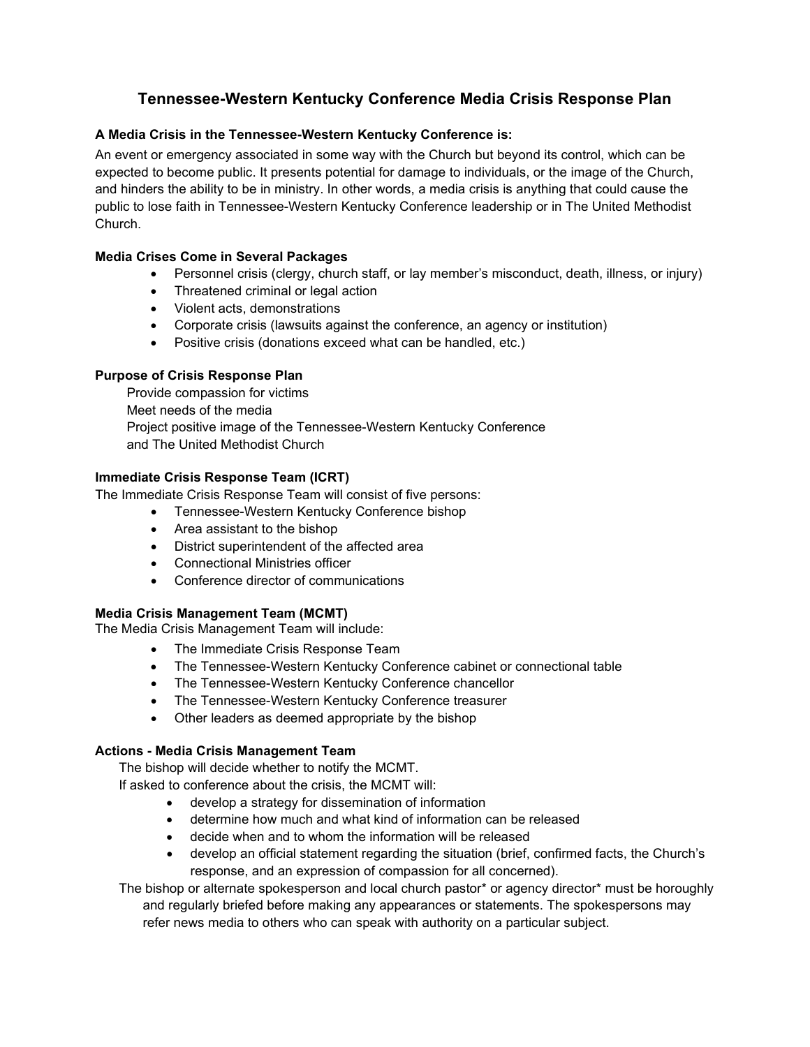# **Tennessee-Western Kentucky Conference Media Crisis Response Plan**

## **A Media Crisis in the Tennessee-Western Kentucky Conference is:**

An event or emergency associated in some way with the Church but beyond its control, which can be expected to become public. It presents potential for damage to individuals, or the image of the Church, and hinders the ability to be in ministry. In other words, a media crisis is anything that could cause the public to lose faith in Tennessee-Western Kentucky Conference leadership or in The United Methodist Church.

## **Media Crises Come in Several Packages**

- Personnel crisis (clergy, church staff, or lay member's misconduct, death, illness, or injury)
- Threatened criminal or legal action
- Violent acts, demonstrations
- Corporate crisis (lawsuits against the conference, an agency or institution)
- Positive crisis (donations exceed what can be handled, etc.)

## **Purpose of Crisis Response Plan**

Provide compassion for victims Meet needs of the media Project positive image of the Tennessee-Western Kentucky Conference and The United Methodist Church

## **Immediate Crisis Response Team (ICRT)**

The Immediate Crisis Response Team will consist of five persons:

- Tennessee-Western Kentucky Conference bishop
- Area assistant to the bishop
- District superintendent of the affected area
- Connectional Ministries officer
- Conference director of communications

#### **Media Crisis Management Team (MCMT)**

The Media Crisis Management Team will include:

- The Immediate Crisis Response Team
- The Tennessee-Western Kentucky Conference cabinet or connectional table
- The Tennessee-Western Kentucky Conference chancellor
- The Tennessee-Western Kentucky Conference treasurer
- Other leaders as deemed appropriate by the bishop

#### **Actions - Media Crisis Management Team**

The bishop will decide whether to notify the MCMT.

If asked to conference about the crisis, the MCMT will:

- develop a strategy for dissemination of information
- determine how much and what kind of information can be released
- decide when and to whom the information will be released
- develop an official statement regarding the situation (brief, confirmed facts, the Church's response, and an expression of compassion for all concerned).

The bishop or alternate spokesperson and local church pastor\* or agency director\* must be horoughly and regularly briefed before making any appearances or statements. The spokespersons may refer news media to others who can speak with authority on a particular subject.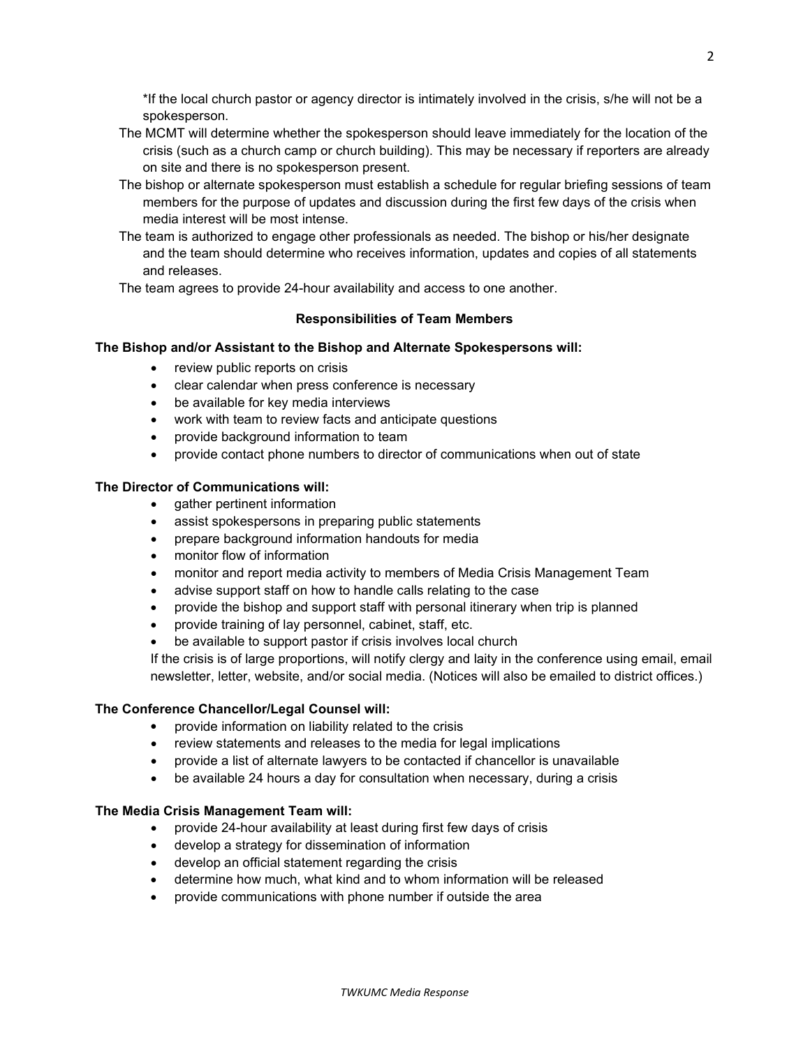\*If the local church pastor or agency director is intimately involved in the crisis, s/he will not be a spokesperson.

- The MCMT will determine whether the spokesperson should leave immediately for the location of the crisis (such as a church camp or church building). This may be necessary if reporters are already on site and there is no spokesperson present.
- The bishop or alternate spokesperson must establish a schedule for regular briefing sessions of team members for the purpose of updates and discussion during the first few days of the crisis when media interest will be most intense.
- The team is authorized to engage other professionals as needed. The bishop or his/her designate and the team should determine who receives information, updates and copies of all statements and releases.

The team agrees to provide 24-hour availability and access to one another.

## **Responsibilities of Team Members**

## **The Bishop and/or Assistant to the Bishop and Alternate Spokespersons will:**

- review public reports on crisis
- clear calendar when press conference is necessary
- be available for key media interviews
- work with team to review facts and anticipate questions
- provide background information to team
- provide contact phone numbers to director of communications when out of state

## **The Director of Communications will:**

- gather pertinent information
- assist spokespersons in preparing public statements
- prepare background information handouts for media
- monitor flow of information
- monitor and report media activity to members of Media Crisis Management Team
- advise support staff on how to handle calls relating to the case
- provide the bishop and support staff with personal itinerary when trip is planned
- provide training of lay personnel, cabinet, staff, etc.
- be available to support pastor if crisis involves local church

If the crisis is of large proportions, will notify clergy and laity in the conference using email, email newsletter, letter, website, and/or social media. (Notices will also be emailed to district offices.)

#### **The Conference Chancellor/Legal Counsel will:**

- provide information on liability related to the crisis
- review statements and releases to the media for legal implications
- provide a list of alternate lawyers to be contacted if chancellor is unavailable
- be available 24 hours a day for consultation when necessary, during a crisis

#### **The Media Crisis Management Team will:**

- provide 24-hour availability at least during first few days of crisis
- develop a strategy for dissemination of information
- develop an official statement regarding the crisis
- determine how much, what kind and to whom information will be released
- provide communications with phone number if outside the area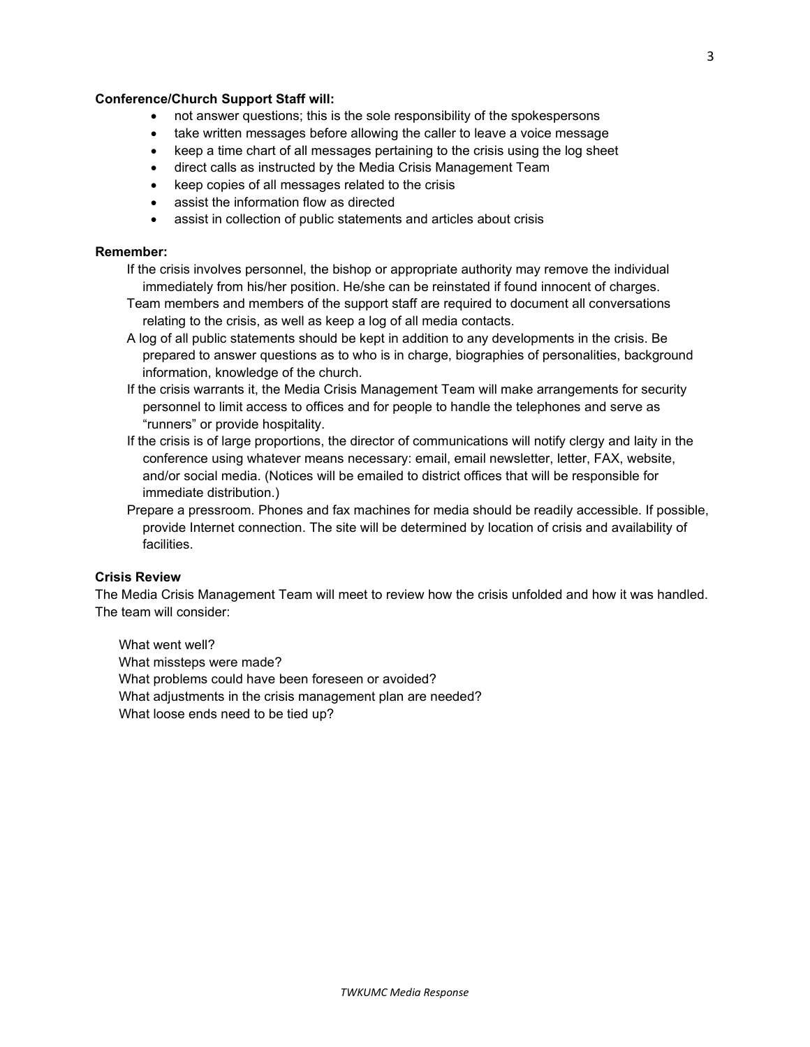#### **Conference/Church Support Staff will:**

- not answer questions; this is the sole responsibility of the spokespersons
- take written messages before allowing the caller to leave a voice message
- keep a time chart of all messages pertaining to the crisis using the log sheet
- direct calls as instructed by the Media Crisis Management Team
- keep copies of all messages related to the crisis
- assist the information flow as directed
- assist in collection of public statements and articles about crisis

#### **Remember:**

- If the crisis involves personnel, the bishop or appropriate authority may remove the individual immediately from his/her position. He/she can be reinstated if found innocent of charges.
- Team members and members of the support staff are required to document all conversations relating to the crisis, as well as keep a log of all media contacts.
- A log of all public statements should be kept in addition to any developments in the crisis. Be prepared to answer questions as to who is in charge, biographies of personalities, background information, knowledge of the church.
- If the crisis warrants it, the Media Crisis Management Team will make arrangements for security personnel to limit access to offices and for people to handle the telephones and serve as "runners" or provide hospitality.
- If the crisis is of large proportions, the director of communications will notify clergy and laity in the conference using whatever means necessary: email, email newsletter, letter, FAX, website, and/or social media. (Notices will be emailed to district offices that will be responsible for immediate distribution.)
- Prepare a pressroom. Phones and fax machines for media should be readily accessible. If possible, provide Internet connection. The site will be determined by location of crisis and availability of facilities.

#### **Crisis Review**

The Media Crisis Management Team will meet to review how the crisis unfolded and how it was handled. The team will consider:

What went well? What missteps were made? What problems could have been foreseen or avoided? What adjustments in the crisis management plan are needed? What loose ends need to be tied up?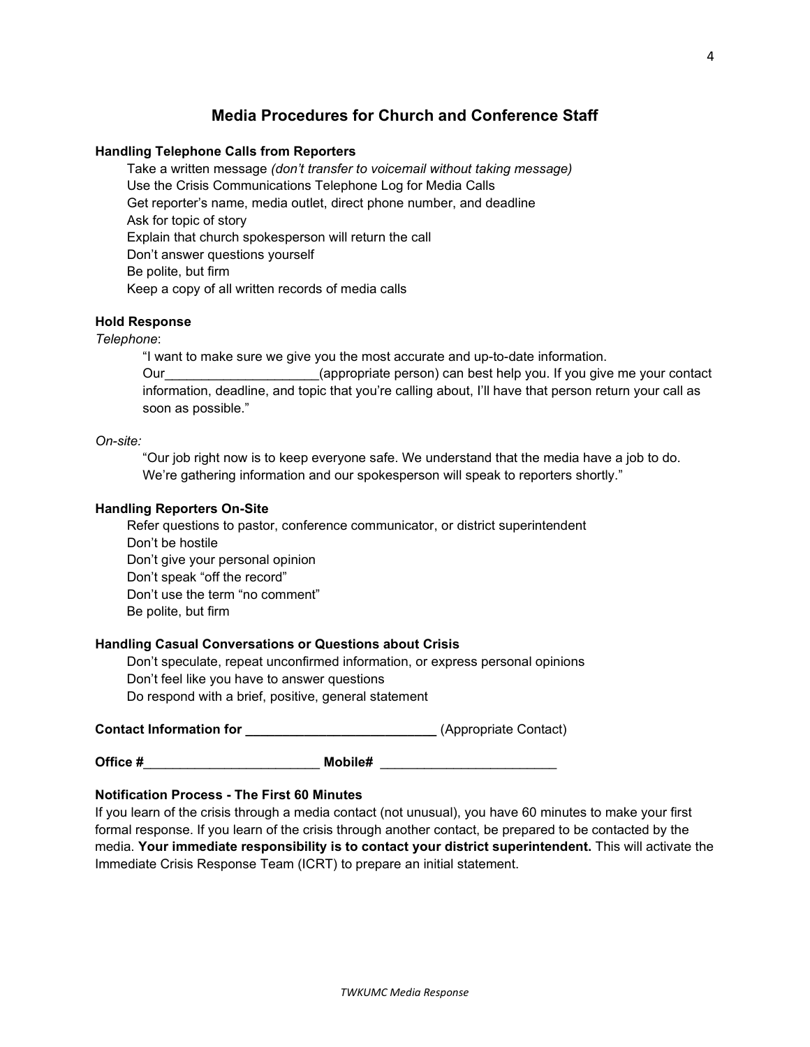## **Media Procedures for Church and Conference Staff**

#### **Handling Telephone Calls from Reporters**

Take a written message *(don't transfer to voicemail without taking message)* Use the Crisis Communications Telephone Log for Media Calls Get reporter's name, media outlet, direct phone number, and deadline Ask for topic of story Explain that church spokesperson will return the call Don't answer questions yourself Be polite, but firm Keep a copy of all written records of media calls

## **Hold Response**

#### *Telephone*:

"I want to make sure we give you the most accurate and up-to-date information. Our example the operation of the person) can best help you. If you give me your contact information, deadline, and topic that you're calling about, I'll have that person return your call as soon as possible."

#### *On-site:*

"Our job right now is to keep everyone safe. We understand that the media have a job to do. We're gathering information and our spokesperson will speak to reporters shortly."

#### **Handling Reporters On-Site**

Refer questions to pastor, conference communicator, or district superintendent Don't be hostile Don't give your personal opinion Don't speak "off the record" Don't use the term "no comment" Be polite, but firm

#### **Handling Casual Conversations or Questions about Crisis**

Don't speculate, repeat unconfirmed information, or express personal opinions Don't feel like you have to answer questions Do respond with a brief, positive, general statement

**Contact Information for** *Dependent Contact* (Appropriate Contact)

**Office #**\_\_\_\_\_\_\_\_\_\_\_\_\_\_\_\_\_\_\_\_\_\_\_\_ **Mobile#** \_\_\_\_\_\_\_\_\_\_\_\_\_\_\_\_\_\_\_\_\_\_\_\_

#### **Notification Process - The First 60 Minutes**

If you learn of the crisis through a media contact (not unusual), you have 60 minutes to make your first formal response. If you learn of the crisis through another contact, be prepared to be contacted by the media. **Your immediate responsibility is to contact your district superintendent.** This will activate the Immediate Crisis Response Team (ICRT) to prepare an initial statement.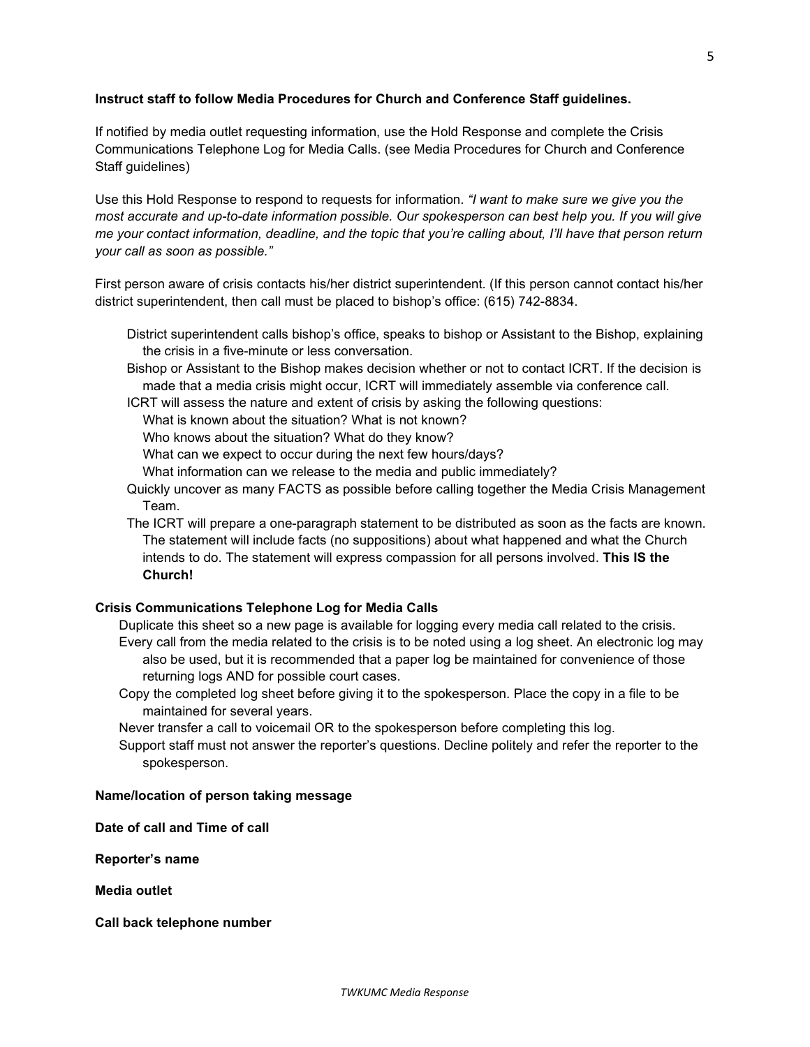## **Instruct staff to follow Media Procedures for Church and Conference Staff guidelines.**

If notified by media outlet requesting information, use the Hold Response and complete the Crisis Communications Telephone Log for Media Calls. (see Media Procedures for Church and Conference Staff guidelines)

Use this Hold Response to respond to requests for information. *"I want to make sure we give you the most accurate and up-to-date information possible. Our spokesperson can best help you. If you will give* me your contact information, deadline, and the topic that you're calling about, I'll have that person return *your call as soon as possible."*

First person aware of crisis contacts his/her district superintendent. (If this person cannot contact his/her district superintendent, then call must be placed to bishop's office: (615) 742-8834.

- District superintendent calls bishop's office, speaks to bishop or Assistant to the Bishop, explaining the crisis in a five-minute or less conversation.
- Bishop or Assistant to the Bishop makes decision whether or not to contact ICRT. If the decision is made that a media crisis might occur, ICRT will immediately assemble via conference call.

ICRT will assess the nature and extent of crisis by asking the following questions:

What is known about the situation? What is not known?

Who knows about the situation? What do they know?

What can we expect to occur during the next few hours/days?

What information can we release to the media and public immediately?

- Quickly uncover as many FACTS as possible before calling together the Media Crisis Management Team.
- The ICRT will prepare a one-paragraph statement to be distributed as soon as the facts are known. The statement will include facts (no suppositions) about what happened and what the Church intends to do. The statement will express compassion for all persons involved. **This IS the Church!**

#### **Crisis Communications Telephone Log for Media Calls**

Duplicate this sheet so a new page is available for logging every media call related to the crisis. Every call from the media related to the crisis is to be noted using a log sheet. An electronic log may also be used, but it is recommended that a paper log be maintained for convenience of those returning logs AND for possible court cases.

Copy the completed log sheet before giving it to the spokesperson. Place the copy in a file to be maintained for several years.

Never transfer a call to voicemail OR to the spokesperson before completing this log.

Support staff must not answer the reporter's questions. Decline politely and refer the reporter to the spokesperson.

#### **Name/location of person taking message**

**Date of call and Time of call**

**Reporter's name**

**Media outlet**

**Call back telephone number**